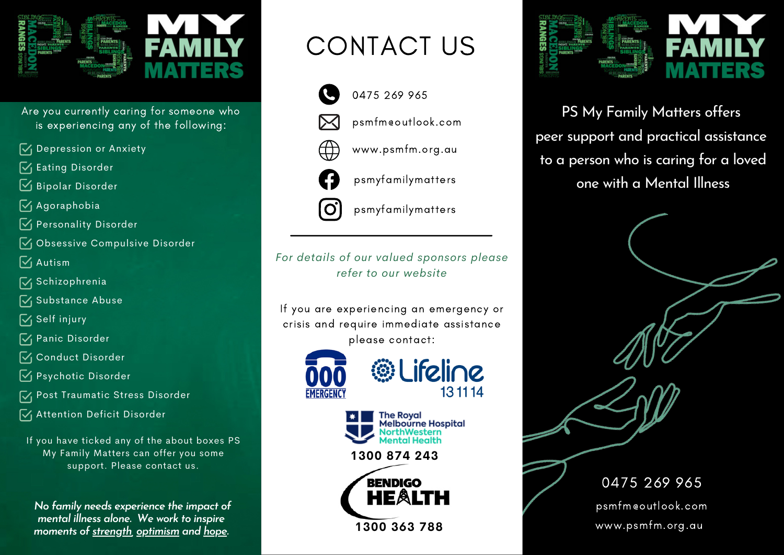

- Are you currently caring for someone who is experiencing any of the following:
- $\sqrt{\phantom{a}}$  Depression or Anxiety
- $\sqrt{\phantom{a}}$  Eating Disorder
- $\boxdot$  Bipolar Disorder
- $\sqrt{q}$  Agoraphobia
- $\sqrt{\phantom{a}}$  Personality Disorder
- $\sqrt{\phantom{a}}$  Obsessive Compulsive Disorder
- $\sqrt{\phantom{a}}$  Autism
- **N** Schizophrenia
- $\sqrt{\phantom{a}}$  Substance Abuse
- $\sqrt{}$  Self injury
- **V**<sub>I</sub> Panic Disorder
- **V** Conduct Disorder
- **V** Psychotic Disorder
- **V** Post Traumatic Stress Disorder
- **V** Attention Deficit Disorder

If you have ticked any of the about boxes PS My Family Matters can offer you some support. Please contact us.

*No family needs experience the impact of mental illness alone. We work to inspire moments of strength, optimism and hope.*

## CONTACT US



- 0475 269 965
- 



- www.psmfm.org.au
- psmyfamilymatters
- psmyfamilymatters

*For details of our valued sponsors please refer to our website*

If you are experiencing an emergency or crisis and require immediate assistance please contact:





*S* Lifeline

131114

**1300 874 243**





PS My Family Matters offers peer support and practical assistance to a person who is caring for a loved one with a Mental Illness

> 0475 269 965 psmfm@outlook.com www.psmfm.org.au